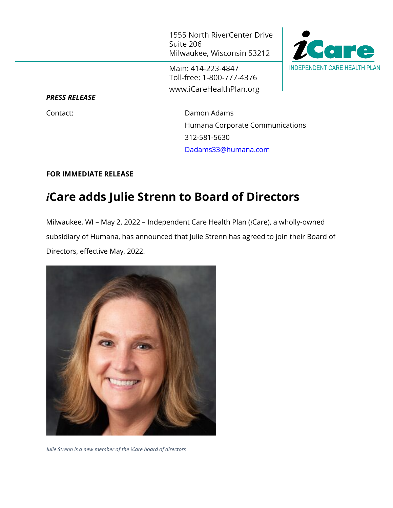1555 North RiverCenter Drive Suite 206 Milwaukee, Wisconsin 53212

Main: 414-223-4847 Toll-free: 1-800-777-4376 www.iCareHealthPlan.org



*PRESS RELEASE*

Contact: Damon Adams Humana Corporate Communications 312-581-5630 [Dadams33@humana.com](mailto:Dadams33@humana.com)

## **FOR IMMEDIATE RELEASE**

## *i***Care adds Julie Strenn to Board of Directors**

Milwaukee, WI – May 2, 2022 – Independent Care Health Plan (*i*Care), a wholly-owned subsidiary of Humana, has announced that Julie Strenn has agreed to join their Board of Directors, effective May, 2022.



*Julie Strenn is a new member of the iCare board of directors*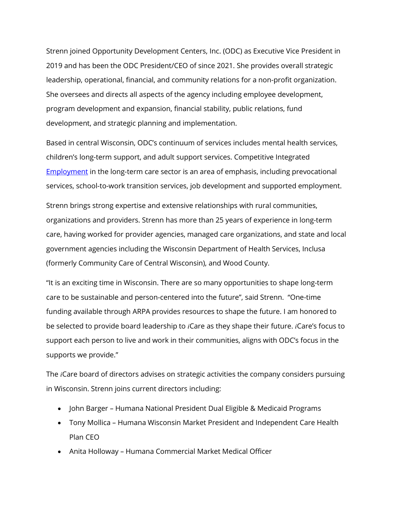Strenn joined Opportunity Development Centers, Inc. (ODC) as Executive Vice President in 2019 and has been the ODC President/CEO of since 2021. She provides overall strategic leadership, operational, financial, and community relations for a non-profit organization. She oversees and directs all aspects of the agency including employee development, program development and expansion, financial stability, public relations, fund development, and strategic planning and implementation.

Based in central Wisconsin, ODC's continuum of services includes mental health services, children's long-term support, and adult support services. Competitive Integrated [Employment](https://www.odcinc.com/services/employment-services) in the long-term care sector is an area of emphasis, including prevocational services, school-to-work transition services, job development and supported employment.

Strenn brings strong expertise and extensive relationships with rural communities, organizations and providers. Strenn has more than 25 years of experience in long-term care, having worked for provider agencies, managed care organizations, and state and local government agencies including the Wisconsin Department of Health Services, Inclusa (formerly Community Care of Central Wisconsin), and Wood County.

"It is an exciting time in Wisconsin. There are so many opportunities to shape long-term care to be sustainable and person-centered into the future", said Strenn. "One-time funding available through ARPA provides resources to shape the future. I am honored to be selected to provide board leadership to *i*Care as they shape their future. *i*Care's focus to support each person to live and work in their communities, aligns with ODC's focus in the supports we provide."

The *i*Care board of directors advises on strategic activities the company considers pursuing in Wisconsin. Strenn joins current directors including:

- John Barger Humana National President Dual Eligible & Medicaid Programs
- Tony Mollica Humana Wisconsin Market President and Independent Care Health Plan CEO
- Anita Holloway Humana Commercial Market Medical Officer